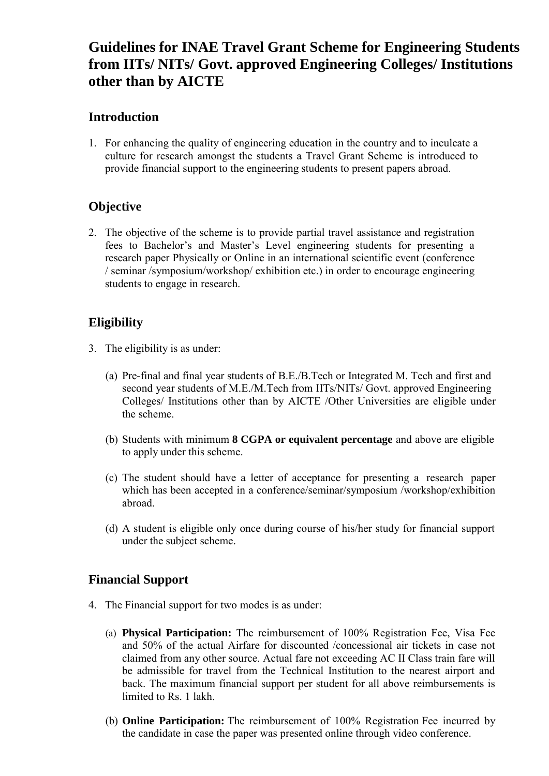# **Guidelines for INAE Travel Grant Scheme for Engineering Students from IITs/ NITs/ Govt. approved Engineering Colleges/ Institutions other than by AICTE**

#### **Introduction**

1. For enhancing the quality of engineering education in the country and to inculcate a culture for research amongst the students a Travel Grant Scheme is introduced to provide financial support to the engineering students to present papers abroad.

# **Objective**

2. The objective of the scheme is to provide partial travel assistance and registration fees to Bachelor's and Master's Level engineering students for presenting a research paper Physically or Online in an international scientific event (conference / seminar /symposium/workshop/ exhibition etc.) in order to encourage engineering students to engage in research.

# **Eligibility**

- 3. The eligibility is as under:
	- (a) Pre-final and final year students of B.E./B.Tech or Integrated M. Tech and first and second year students of M.E./M.Tech from IITs/NITs/ Govt. approved Engineering Colleges/ Institutions other than by AICTE /Other Universities are eligible under the scheme.
	- (b) Students with minimum **8 CGPA or equivalent percentage** and above are eligible to apply under this scheme.
	- (c) The student should have a letter of acceptance for presenting a research paper which has been accepted in a conference/seminar/symposium /workshop/exhibition abroad.
	- (d) A student is eligible only once during course of his/her study for financial support under the subject scheme.

#### **Financial Support**

- 4. The Financial support for two modes is as under:
	- (a) **Physical Participation:** The reimbursement of 100% Registration Fee, Visa Fee and 50% of the actual Airfare for discounted /concessional air tickets in case not claimed from any other source. Actual fare not exceeding AC II Class train fare will be admissible for travel from the Technical Institution to the nearest airport and back. The maximum financial support per student for all above reimbursements is limited to Rs. 1 lakh.
	- (b) **Online Participation:** The reimbursement of 100% Registration Fee incurred by the candidate in case the paper was presented online through video conference.